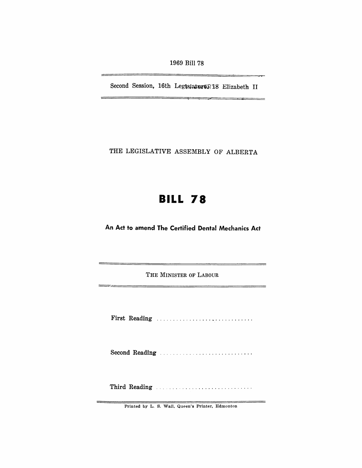1969 Bill 78

Second Session, 16th Leg's ature R18 Elizabeth II

THE LEGISLATIVE ASSEMBLY OF ALBERTA

## **BILL 78**

An Act to amend The Certified Dental Mechanics Act

THE MINISTER OF LABOUR 

First Reading ............................. .

Second Reading ............................ .

Third Reading " ........................... .

 $=$ \_\_\_\_\_

Printed by L. S. Wall, Queen's Printer, Edmonton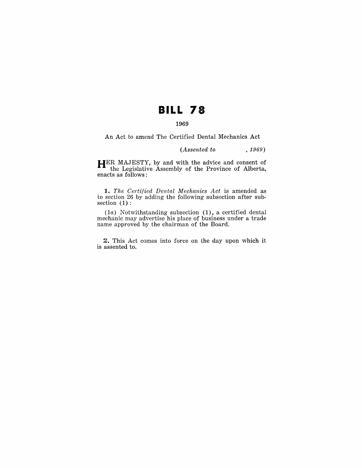## **BILL 78**

## **1969**

An Act to amend The Certified Dental Mechanics Act

*(Assented to* , 1969)

**HER** MAJESTY, by and with the advice and consent of the Legislative Assembly of the Province of Alberta, enacts as follows:

*1. The CeTti/ied Dental Mechanics Act* is amended as to section 26 by adding the following subsection after subsection  $(1)$ :

(la) Notwithstanding subsection **(1),** a certified dental mechanic may advertise his place of business under a trade name approved by the chairman of the Board.

2. This Act comes into force on the day upon which it is assented to.